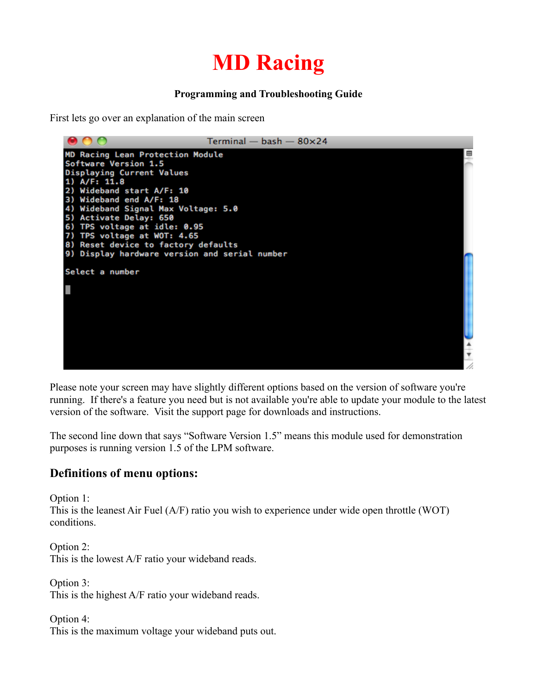# **MD Racing**

#### **Programming and Troubleshooting Guide**

First lets go over an explanation of the main screen



Please note your screen may have slightly different options based on the version of software you're running. If there's a feature you need but is not available you're able to update your module to the latest version of the software. Visit the support page for downloads and instructions.

The second line down that says "Software Version 1.5" means this module used for demonstration purposes is running version 1.5 of the LPM software.

### **Definitions of menu options:**

Option 1:

This is the leanest Air Fuel (A/F) ratio you wish to experience under wide open throttle (WOT) conditions.

Option 2: This is the lowest A/F ratio your wideband reads.

Option 3: This is the highest A/F ratio your wideband reads.

Option 4: This is the maximum voltage your wideband puts out.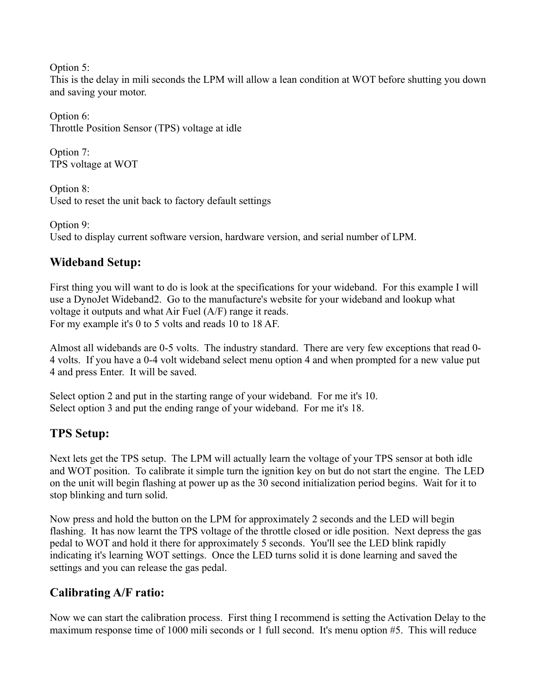Option 5:

This is the delay in mili seconds the LPM will allow a lean condition at WOT before shutting you down and saving your motor.

Option 6: Throttle Position Sensor (TPS) voltage at idle

Option 7: TPS voltage at WOT

Option 8: Used to reset the unit back to factory default settings

Option 9: Used to display current software version, hardware version, and serial number of LPM.

# **Wideband Setup:**

First thing you will want to do is look at the specifications for your wideband. For this example I will use a DynoJet Wideband2. Go to the manufacture's website for your wideband and lookup what voltage it outputs and what Air Fuel (A/F) range it reads. For my example it's 0 to 5 volts and reads 10 to 18 AF.

Almost all widebands are 0-5 volts. The industry standard. There are very few exceptions that read 0- 4 volts. If you have a 0-4 volt wideband select menu option 4 and when prompted for a new value put 4 and press Enter. It will be saved.

Select option 2 and put in the starting range of your wideband. For me it's 10. Select option 3 and put the ending range of your wideband. For me it's 18.

# **TPS Setup:**

Next lets get the TPS setup. The LPM will actually learn the voltage of your TPS sensor at both idle and WOT position. To calibrate it simple turn the ignition key on but do not start the engine. The LED on the unit will begin flashing at power up as the 30 second initialization period begins. Wait for it to stop blinking and turn solid.

Now press and hold the button on the LPM for approximately 2 seconds and the LED will begin flashing. It has now learnt the TPS voltage of the throttle closed or idle position. Next depress the gas pedal to WOT and hold it there for approximately 5 seconds. You'll see the LED blink rapidly indicating it's learning WOT settings. Once the LED turns solid it is done learning and saved the settings and you can release the gas pedal.

# **Calibrating A/F ratio:**

Now we can start the calibration process. First thing I recommend is setting the Activation Delay to the maximum response time of 1000 mili seconds or 1 full second. It's menu option #5. This will reduce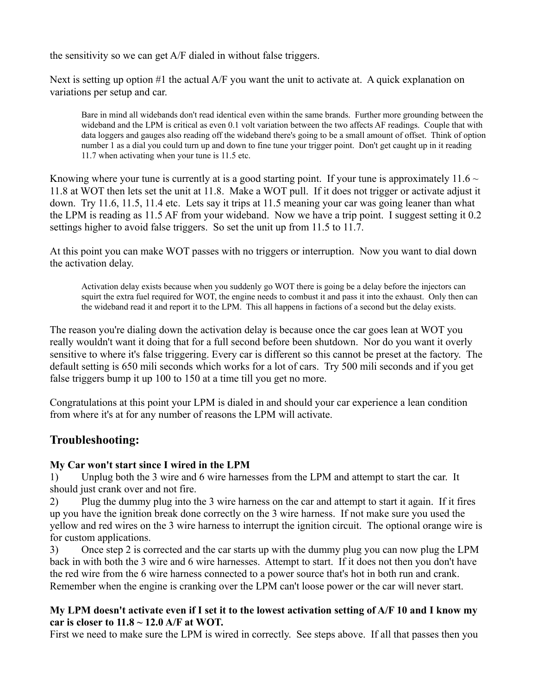the sensitivity so we can get A/F dialed in without false triggers.

Next is setting up option #1 the actual A/F you want the unit to activate at. A quick explanation on variations per setup and car.

Bare in mind all widebands don't read identical even within the same brands. Further more grounding between the wideband and the LPM is critical as even 0.1 volt variation between the two affects AF readings. Couple that with data loggers and gauges also reading off the wideband there's going to be a small amount of offset. Think of option number 1 as a dial you could turn up and down to fine tune your trigger point. Don't get caught up in it reading 11.7 when activating when your tune is 11.5 etc.

Knowing where your tune is currently at is a good starting point. If your tune is approximately 11.6  $\sim$ 11.8 at WOT then lets set the unit at 11.8. Make a WOT pull. If it does not trigger or activate adjust it down. Try 11.6, 11.5, 11.4 etc. Lets say it trips at 11.5 meaning your car was going leaner than what the LPM is reading as 11.5 AF from your wideband. Now we have a trip point. I suggest setting it 0.2 settings higher to avoid false triggers. So set the unit up from 11.5 to 11.7.

At this point you can make WOT passes with no triggers or interruption. Now you want to dial down the activation delay.

Activation delay exists because when you suddenly go WOT there is going be a delay before the injectors can squirt the extra fuel required for WOT, the engine needs to combust it and pass it into the exhaust. Only then can the wideband read it and report it to the LPM. This all happens in factions of a second but the delay exists.

The reason you're dialing down the activation delay is because once the car goes lean at WOT you really wouldn't want it doing that for a full second before been shutdown. Nor do you want it overly sensitive to where it's false triggering. Every car is different so this cannot be preset at the factory. The default setting is 650 mili seconds which works for a lot of cars. Try 500 mili seconds and if you get false triggers bump it up 100 to 150 at a time till you get no more.

Congratulations at this point your LPM is dialed in and should your car experience a lean condition from where it's at for any number of reasons the LPM will activate.

#### **Troubleshooting:**

#### **My Car won't start since I wired in the LPM**

1) Unplug both the 3 wire and 6 wire harnesses from the LPM and attempt to start the car. It should just crank over and not fire.

2) Plug the dummy plug into the 3 wire harness on the car and attempt to start it again. If it fires up you have the ignition break done correctly on the 3 wire harness. If not make sure you used the yellow and red wires on the 3 wire harness to interrupt the ignition circuit. The optional orange wire is for custom applications.

3) Once step 2 is corrected and the car starts up with the dummy plug you can now plug the LPM back in with both the 3 wire and 6 wire harnesses. Attempt to start. If it does not then you don't have the red wire from the 6 wire harness connected to a power source that's hot in both run and crank. Remember when the engine is cranking over the LPM can't loose power or the car will never start.

#### **My LPM doesn't activate even if I set it to the lowest activation setting of A/F 10 and I know my car is closer to 11.8 ~ 12.0 A/F at WOT.**

First we need to make sure the LPM is wired in correctly. See steps above. If all that passes then you